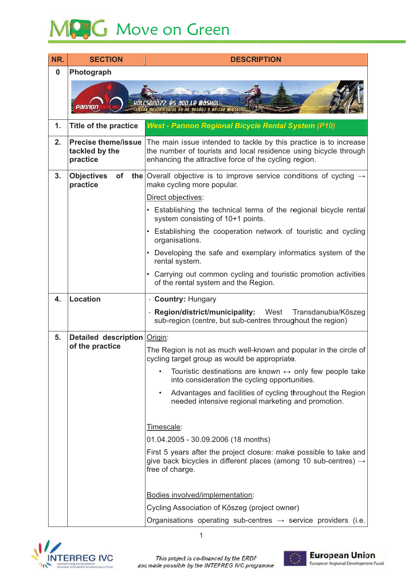## MCG Move on Green

| <b>SECTION</b>                                           | <b>DESCRIPTION</b>                                                                                                                                                                             |
|----------------------------------------------------------|------------------------------------------------------------------------------------------------------------------------------------------------------------------------------------------------|
| Photograph                                               |                                                                                                                                                                                                |
|                                                          | HÖLCSÖNÖZZ, és ado le máshol!<br>s a résiot és ne assóoj a brinsa miatt.                                                                                                                       |
| <b>Title of the practice</b>                             | <b>West - Pannon Regional Bicycle Rental System (P10)</b>                                                                                                                                      |
| <b>Precise theme/issue</b><br>tackled by the<br>practice | The main issue intended to tackle by this practice is to increase<br>the number of tourists and local residence using bicycle through<br>enhancing the attractive force of the cycling region. |
| <b>Objectives</b><br>of<br>practice                      | <b>the</b> Overall objective is to improve service conditions of cycling $\rightarrow$<br>make cycling more popular.                                                                           |
|                                                          | Direct objectives:                                                                                                                                                                             |
|                                                          | • Establishing the technical terms of the regional bicycle rental<br>system consisting of 10+1 points.                                                                                         |
|                                                          | Establishing the cooperation network of touristic and cycling<br>organisations.                                                                                                                |
|                                                          | Developing the safe and exemplary informatics system of the<br>rental system.                                                                                                                  |
|                                                          | • Carrying out common cycling and touristic promotion activities<br>of the rental system and the Region.                                                                                       |
| <b>Location</b>                                          | - Country: Hungary                                                                                                                                                                             |
|                                                          | - Region/district/municipality:<br>West<br>Transdanubia/Kőszeg<br>sub-region (centre, but sub-centres throughout the region)                                                                   |
| <b>Detailed description Origin:</b>                      |                                                                                                                                                                                                |
| of the practice                                          | The Region is not as much well-known and popular in the circle of<br>cycling target group as would be appropriate.                                                                             |
|                                                          | Touristic destinations are known $\leftrightarrow$ only few people take<br>into consideration the cycling opportunities.                                                                       |
|                                                          | Advantages and facilities of cycling throughout the Region<br>$\bullet$<br>needed intensive regional marketing and promotion.                                                                  |
|                                                          | Timescale:                                                                                                                                                                                     |
|                                                          | 01.04.2005 - 30.09.2006 (18 months)                                                                                                                                                            |
|                                                          | First 5 years after the project closure: make possible to take and<br>give back bicycles in different places (among 10 sub-centres) $\rightarrow$<br>free of charge.                           |
|                                                          | Bodies involved/implementation:                                                                                                                                                                |
|                                                          | Cycling Association of Kőszeg (project owner)                                                                                                                                                  |
|                                                          | Organisations operating sub-centres $\rightarrow$ service providers (i.e.                                                                                                                      |
|                                                          |                                                                                                                                                                                                |



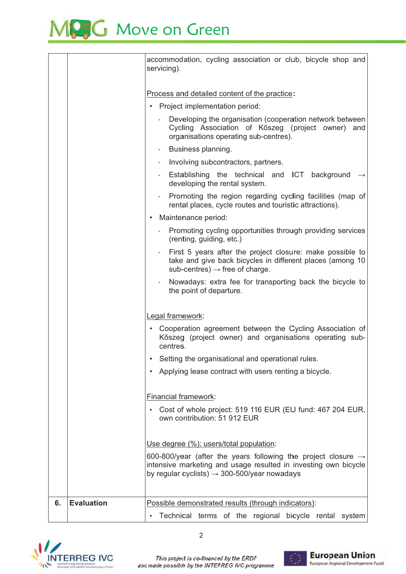## MPG Move on Green

|    |                   | accommodation, cycling association or club, bicycle shop and<br>servicing).                                                                                                                              |
|----|-------------------|----------------------------------------------------------------------------------------------------------------------------------------------------------------------------------------------------------|
|    |                   | Process and detailed content of the practice:                                                                                                                                                            |
|    |                   | Project implementation period:                                                                                                                                                                           |
|    |                   | Developing the organisation (cooperation network between<br>$\overline{\phantom{a}}$<br>Cycling Association of Kőszeg (project owner)<br>and<br>organisations operating sub-centres).                    |
|    |                   | Business planning.<br>$\overline{\phantom{a}}$                                                                                                                                                           |
|    |                   | Involving subcontractors, partners.                                                                                                                                                                      |
|    |                   | Establishing the technical and ICT background<br>developing the rental system.                                                                                                                           |
|    |                   | Promoting the region regarding cycling facilities (map of<br>$\overline{\phantom{a}}$<br>rental places, cycle routes and touristic attractions).                                                         |
|    |                   | Maintenance period:<br>$\bullet$                                                                                                                                                                         |
|    |                   | Promoting cycling opportunities through providing services<br>$\sim$ 10 $\pm$<br>(renting, guiding, etc.)                                                                                                |
|    |                   | First 5 years after the project closure: make possible to<br>take and give back bicycles in different places (among 10<br>$sub-centres) \rightarrow free$ of charge.                                     |
|    |                   | Nowadays: extra fee for transporting back the bicycle to<br>$\overline{\phantom{a}}$<br>the point of departure.                                                                                          |
|    |                   | Legal framework:                                                                                                                                                                                         |
|    |                   | Cooperation agreement between the Cycling Association of<br>Kőszeg (project owner) and organisations operating sub-<br>centres.                                                                          |
|    |                   | Setting the organisational and operational rules.                                                                                                                                                        |
|    |                   | Applying lease contract with users renting a bicycle.                                                                                                                                                    |
|    |                   | <b>Financial framework:</b>                                                                                                                                                                              |
|    |                   | Cost of whole project: 519 116 EUR (EU fund: 467 204 EUR,<br>own contribution: 51 912 EUR                                                                                                                |
|    |                   | Use degree (%): users/total population:                                                                                                                                                                  |
|    |                   | 600-800/year (after the years following the project closure $\rightarrow$<br>intensive marketing and usage resulted in investing own bicycle<br>by regular cyclists) $\rightarrow$ 300-500/year nowadays |
|    |                   |                                                                                                                                                                                                          |
| 6. | <b>Evaluation</b> | Possible demonstrated results (through indicators):                                                                                                                                                      |
|    |                   | Technical terms of the regional bicycle rental system                                                                                                                                                    |